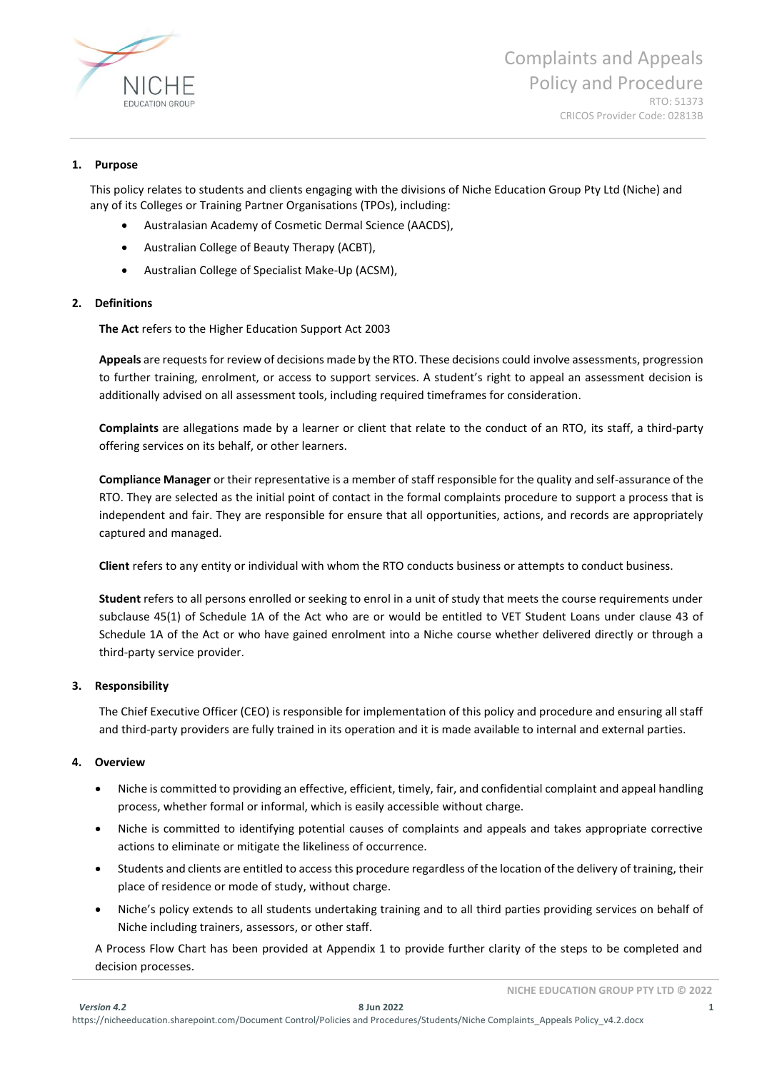

#### **1. Purpose**

This policy relates to students and clients engaging with the divisions of Niche Education Group Pty Ltd (Niche) and any of its Colleges or Training Partner Organisations (TPOs), including:

- Australasian Academy of Cosmetic Dermal Science (AACDS),
- Australian College of Beauty Therapy (ACBT),
- Australian College of Specialist Make-Up (ACSM),

# **2. Definitions**

**The Act** refers to the Higher Education Support Act 2003

**Appeals** are requests for review of decisions made by the RTO. These decisions could involve assessments, progression to further training, enrolment, or access to support services. A student's right to appeal an assessment decision is additionally advised on all assessment tools, including required timeframes for consideration.

**Complaints** are allegations made by a learner or client that relate to the conduct of an RTO, its staff, a third-party offering services on its behalf, or other learners.

**Compliance Manager** or their representative is a member of staff responsible for the quality and self-assurance of the RTO. They are selected as the initial point of contact in the formal complaints procedure to support a process that is independent and fair. They are responsible for ensure that all opportunities, actions, and records are appropriately captured and managed.

**Client** refers to any entity or individual with whom the RTO conducts business or attempts to conduct business.

**Student** refers to all persons enrolled or seeking to enrol in a unit of study that meets the course requirements under subclause 45(1) of Schedule 1A of the Act who are or would be entitled to VET Student Loans under clause 43 of Schedule 1A of the Act or who have gained enrolment into a Niche course whether delivered directly or through a third-party service provider.

#### **3. Responsibility**

The Chief Executive Officer (CEO) is responsible for implementation of this policy and procedure and ensuring all staff and third-party providers are fully trained in its operation and it is made available to internal and external parties.

#### **4. Overview**

- Niche is committed to providing an effective, efficient, timely, fair, and confidential complaint and appeal handling process, whether formal or informal, which is easily accessible without charge.
- Niche is committed to identifying potential causes of complaints and appeals and takes appropriate corrective actions to eliminate or mitigate the likeliness of occurrence.
- Students and clients are entitled to access this procedure regardless of the location of the delivery of training, their place of residence or mode of study, without charge.
- Niche's policy extends to all students undertaking training and to all third parties providing services on behalf of Niche including trainers, assessors, or other staff.

A Process Flow Chart has been provided at Appendix 1 to provide further clarity of the steps to be completed and decision processes.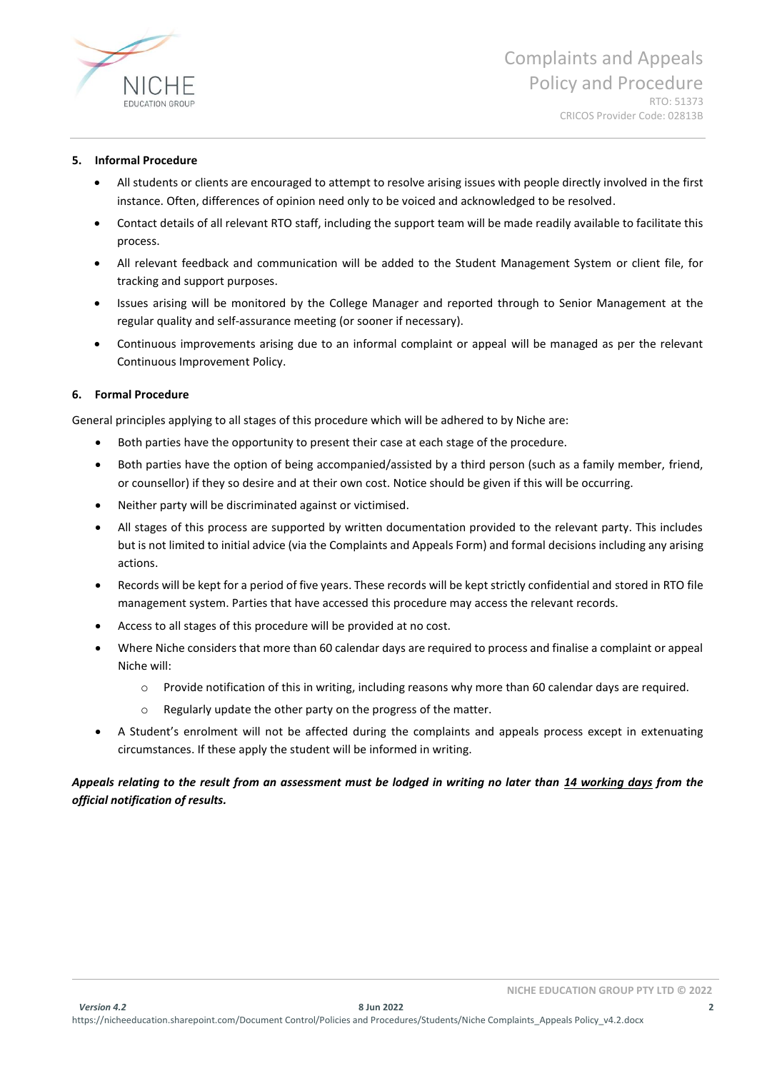

#### **5. Informal Procedure**

- All students or clients are encouraged to attempt to resolve arising issues with people directly involved in the first instance. Often, differences of opinion need only to be voiced and acknowledged to be resolved.
- Contact details of all relevant RTO staff, including the support team will be made readily available to facilitate this process.
- All relevant feedback and communication will be added to the Student Management System or client file, for tracking and support purposes.
- Issues arising will be monitored by the College Manager and reported through to Senior Management at the regular quality and self-assurance meeting (or sooner if necessary).
- Continuous improvements arising due to an informal complaint or appeal will be managed as per the relevant Continuous Improvement Policy.

#### **6. Formal Procedure**

General principles applying to all stages of this procedure which will be adhered to by Niche are:

- Both parties have the opportunity to present their case at each stage of the procedure.
- Both parties have the option of being accompanied/assisted by a third person (such as a family member, friend, or counsellor) if they so desire and at their own cost. Notice should be given if this will be occurring.
- Neither party will be discriminated against or victimised.
- All stages of this process are supported by written documentation provided to the relevant party. This includes but is not limited to initial advice (via the Complaints and Appeals Form) and formal decisions including any arising actions.
- Records will be kept for a period of five years. These records will be kept strictly confidential and stored in RTO file management system. Parties that have accessed this procedure may access the relevant records.
- Access to all stages of this procedure will be provided at no cost.
- Where Niche considers that more than 60 calendar days are required to process and finalise a complaint or appeal Niche will:
	- $\circ$  Provide notification of this in writing, including reasons why more than 60 calendar days are required.
	- o Regularly update the other party on the progress of the matter.
- A Student's enrolment will not be affected during the complaints and appeals process except in extenuating circumstances. If these apply the student will be informed in writing.

# *Appeals relating to the result from an assessment must be lodged in writing no later than 14 working days from the official notification of results.*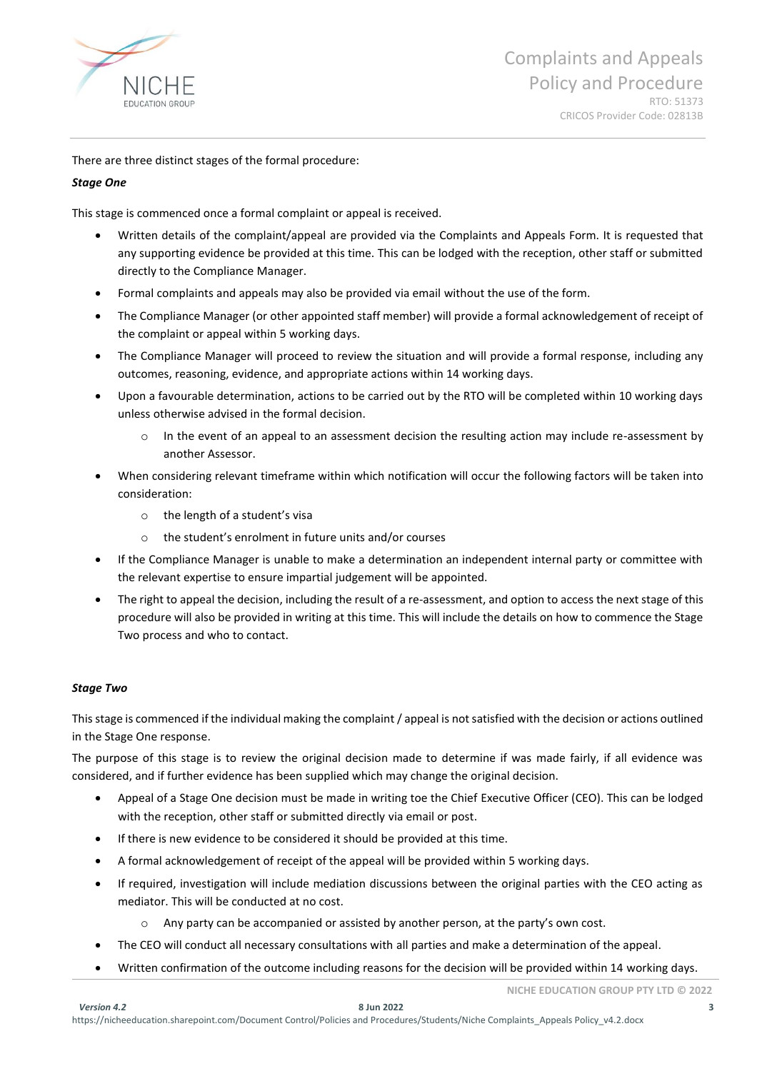

There are three distinct stages of the formal procedure:

# *Stage One*

This stage is commenced once a formal complaint or appeal is received.

- Written details of the complaint/appeal are provided via the Complaints and Appeals Form. It is requested that any supporting evidence be provided at this time. This can be lodged with the reception, other staff or submitted directly to the Compliance Manager.
- Formal complaints and appeals may also be provided via email without the use of the form.
- The Compliance Manager (or other appointed staff member) will provide a formal acknowledgement of receipt of the complaint or appeal within 5 working days.
- The Compliance Manager will proceed to review the situation and will provide a formal response, including any outcomes, reasoning, evidence, and appropriate actions within 14 working days.
- Upon a favourable determination, actions to be carried out by the RTO will be completed within 10 working days unless otherwise advised in the formal decision.
	- $\circ$  In the event of an appeal to an assessment decision the resulting action may include re-assessment by another Assessor.
- When considering relevant timeframe within which notification will occur the following factors will be taken into consideration:
	- o the length of a student's visa
	- o the student's enrolment in future units and/or courses
- If the Compliance Manager is unable to make a determination an independent internal party or committee with the relevant expertise to ensure impartial judgement will be appointed.
- The right to appeal the decision, including the result of a re-assessment, and option to access the next stage of this procedure will also be provided in writing at this time. This will include the details on how to commence the Stage Two process and who to contact.

#### *Stage Two*

This stage is commenced if the individual making the complaint / appeal is not satisfied with the decision or actions outlined in the Stage One response.

The purpose of this stage is to review the original decision made to determine if was made fairly, if all evidence was considered, and if further evidence has been supplied which may change the original decision.

- Appeal of a Stage One decision must be made in writing toe the Chief Executive Officer (CEO). This can be lodged with the reception, other staff or submitted directly via email or post.
- If there is new evidence to be considered it should be provided at this time.
- A formal acknowledgement of receipt of the appeal will be provided within 5 working days.
- If required, investigation will include mediation discussions between the original parties with the CEO acting as mediator. This will be conducted at no cost.
	- o Any party can be accompanied or assisted by another person, at the party's own cost.
- The CEO will conduct all necessary consultations with all parties and make a determination of the appeal.
- Written confirmation of the outcome including reasons for the decision will be provided within 14 working days.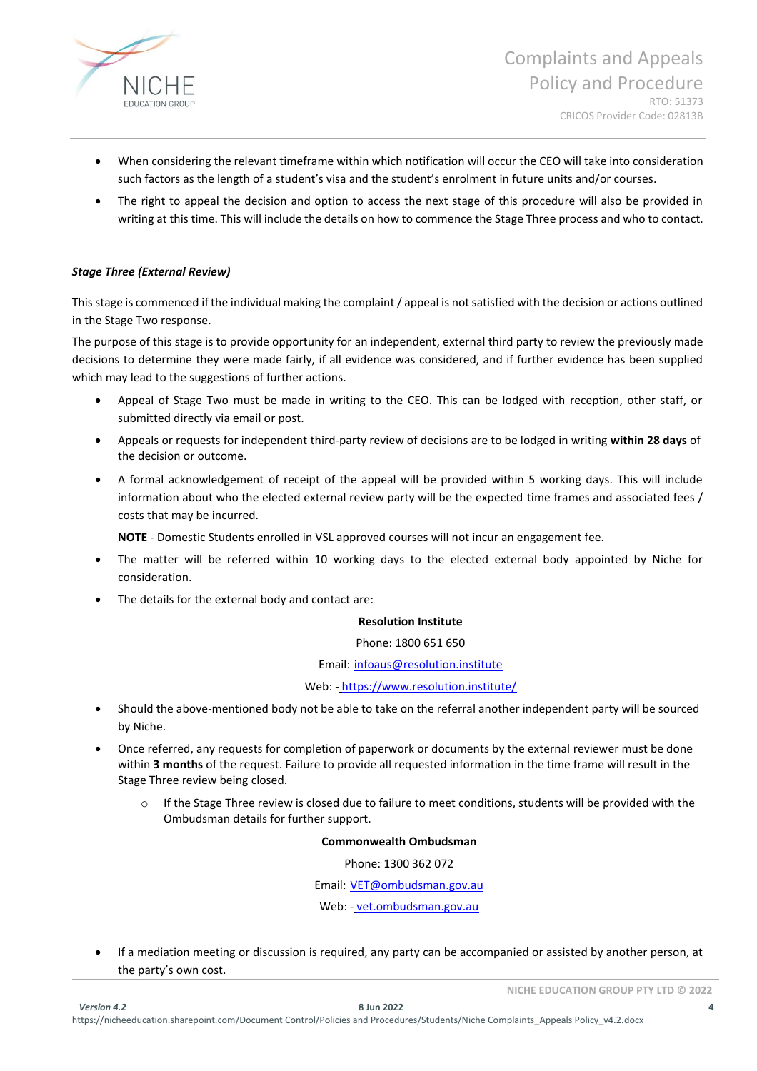

- When considering the relevant timeframe within which notification will occur the CEO will take into consideration such factors as the length of a student's visa and the student's enrolment in future units and/or courses.
- The right to appeal the decision and option to access the next stage of this procedure will also be provided in writing at this time. This will include the details on how to commence the Stage Three process and who to contact.

# *Stage Three (External Review)*

This stage is commenced if the individual making the complaint / appeal is not satisfied with the decision or actions outlined in the Stage Two response.

The purpose of this stage is to provide opportunity for an independent, external third party to review the previously made decisions to determine they were made fairly, if all evidence was considered, and if further evidence has been supplied which may lead to the suggestions of further actions.

- Appeal of Stage Two must be made in writing to the CEO. This can be lodged with reception, other staff, or submitted directly via email or post.
- Appeals or requests for independent third-party review of decisions are to be lodged in writing **within 28 days** of the decision or outcome.
- A formal acknowledgement of receipt of the appeal will be provided within 5 working days. This will include information about who the elected external review party will be the expected time frames and associated fees / costs that may be incurred.

**NOTE** - Domestic Students enrolled in VSL approved courses will not incur an engagement fee.

- The matter will be referred within 10 working days to the elected external body appointed by Niche for consideration.
- The details for the external body and contact are:

#### **Resolution Institute**

Phone: 1800 651 650

Email: [infoaus@resolution.institute](mailto:infoaus@resolution.institute)

#### Web: - https://www.resolution.institute/

- Should the above-mentioned body not be able to take on the referral another independent party will be sourced by Niche.
- Once referred, any requests for completion of paperwork or documents by the external reviewer must be done within **3 months** of the request. Failure to provide all requested information in the time frame will result in the Stage Three review being closed.
	- $\circ$  If the Stage Three review is closed due to failure to meet conditions, students will be provided with the Ombudsman details for further support.

#### **Commonwealth Ombudsman**

Phone: 1300 362 072

Email: [VET@ombudsman.gov.au](mailto:VET@ombudsman.gov.au)

Web: - [vet.ombudsman.gov.au](https://vet.ombudsman.gov.au/)

• If a mediation meeting or discussion is required, any party can be accompanied or assisted by another person, at the party's own cost.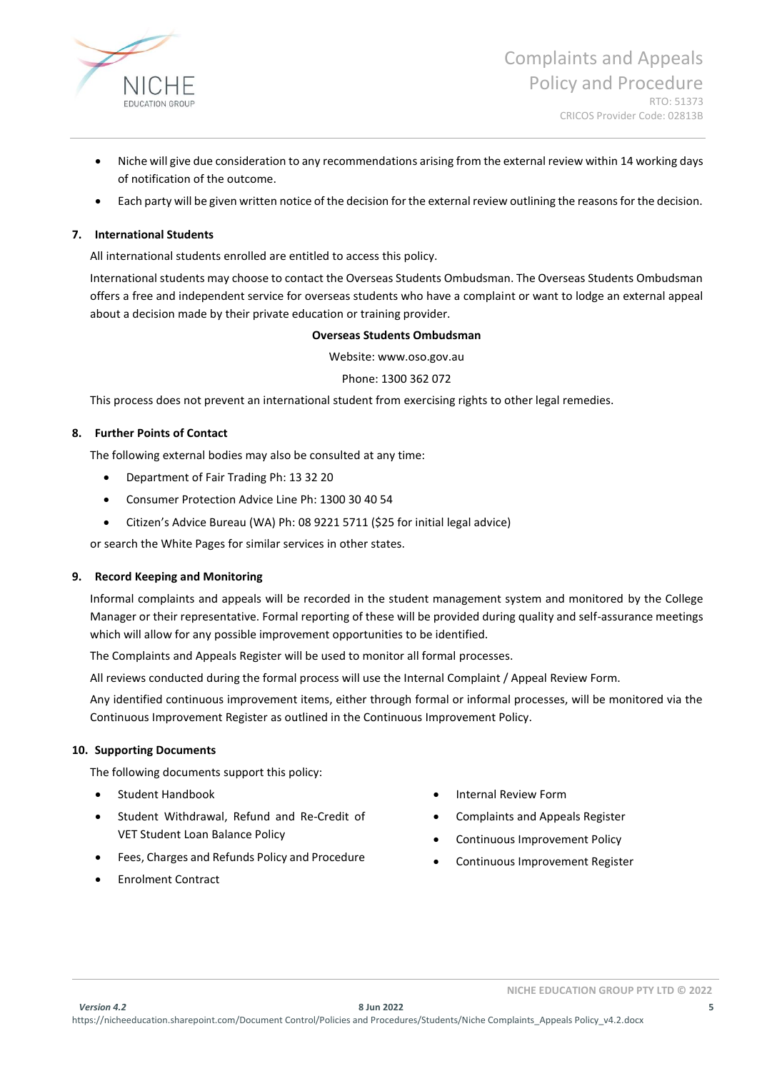

- Niche will give due consideration to any recommendations arising from the external review within 14 working days of notification of the outcome.
- Each party will be given written notice of the decision for the external review outlining the reasons for the decision.

#### **7. International Students**

All international students enrolled are entitled to access this policy.

International students may choose to contact the Overseas Students Ombudsman. The Overseas Students Ombudsman offers a free and independent service for overseas students who have a complaint or want to lodge an external appeal about a decision made by their private education or training provider.

#### **Overseas Students Ombudsman**

Website: www.oso.gov.au

#### Phone: 1300 362 072

This process does not prevent an international student from exercising rights to other legal remedies.

#### **8. Further Points of Contact**

The following external bodies may also be consulted at any time:

- Department of Fair Trading Ph: 13 32 20
- Consumer Protection Advice Line Ph: 1300 30 40 54
- Citizen's Advice Bureau (WA) Ph: 08 9221 5711 (\$25 for initial legal advice)

or search the White Pages for similar services in other states.

#### **9. Record Keeping and Monitoring**

Informal complaints and appeals will be recorded in the student management system and monitored by the College Manager or their representative. Formal reporting of these will be provided during quality and self-assurance meetings which will allow for any possible improvement opportunities to be identified.

The Complaints and Appeals Register will be used to monitor all formal processes.

All reviews conducted during the formal process will use the Internal Complaint / Appeal Review Form.

Any identified continuous improvement items, either through formal or informal processes, will be monitored via the Continuous Improvement Register as outlined in the Continuous Improvement Policy.

#### **10. Supporting Documents**

The following documents support this policy:

- Student Handbook
- Student Withdrawal, Refund and Re-Credit of VET Student Loan Balance Policy
- Fees, Charges and Refunds Policy and Procedure
- Enrolment Contract
- Internal Review Form
- Complaints and Appeals Register
- Continuous Improvement Policy
- Continuous Improvement Register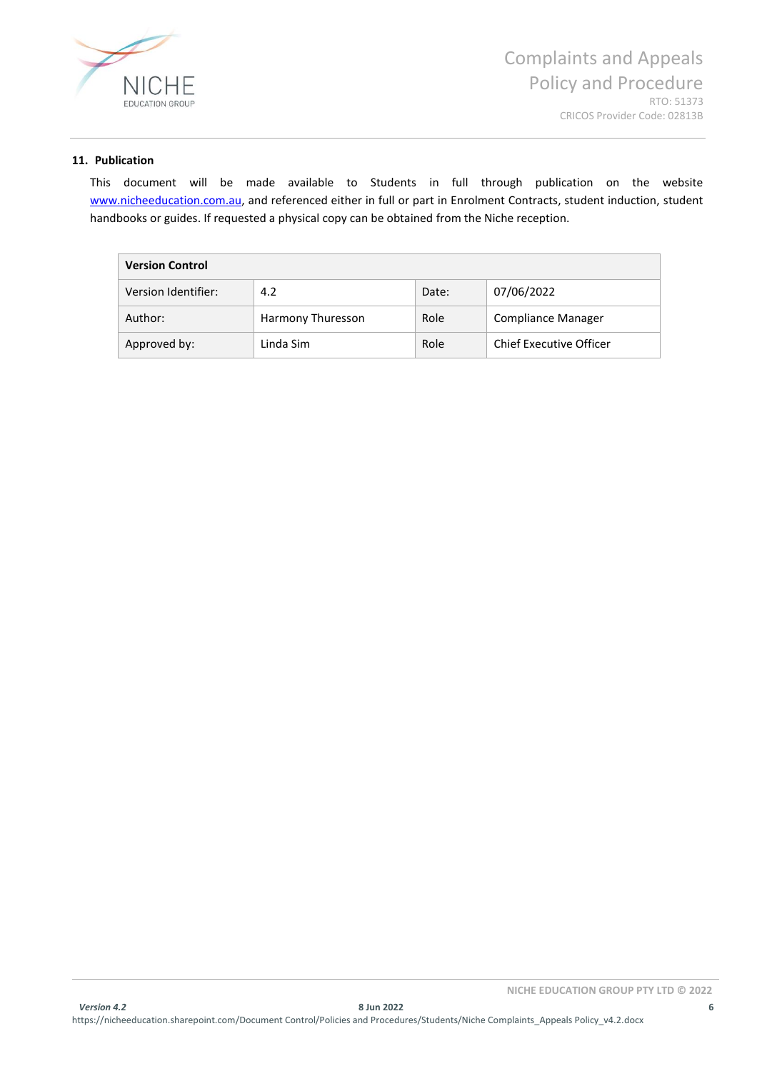

#### **11. Publication**

This document will be made available to Students in full through publication on the website [www.nicheeducation.com.au,](http://www.nicheeducation.com.au/) and referenced either in full or part in Enrolment Contracts, student induction, student handbooks or guides. If requested a physical copy can be obtained from the Niche reception.

| <b>Version Control</b> |                   |       |                         |
|------------------------|-------------------|-------|-------------------------|
| Version Identifier:    | 4.2               | Date: | 07/06/2022              |
| Author:                | Harmony Thuresson | Role  | Compliance Manager      |
| Approved by:           | Linda Sim         | Role  | Chief Executive Officer |